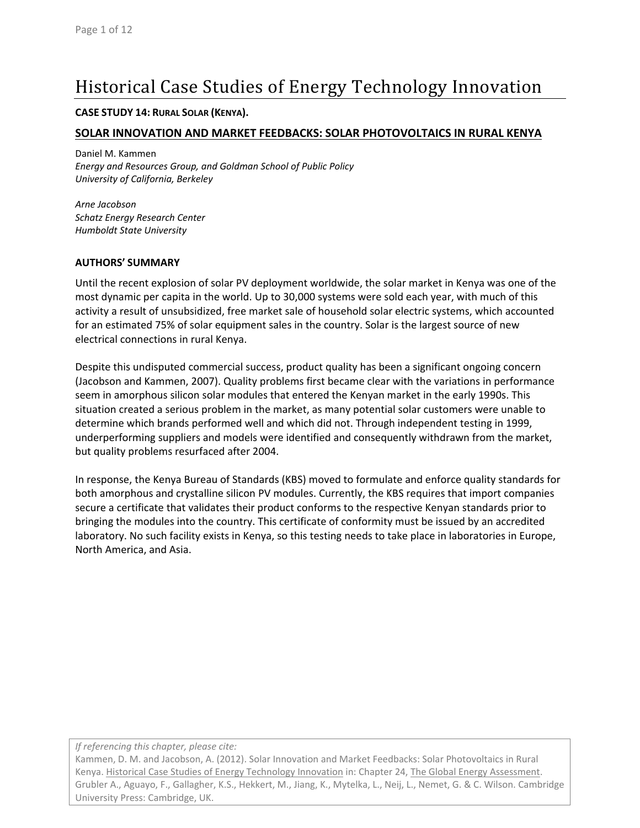# Historical Case Studies of Energy Technology Innovation

#### **CASE STUDY 14: RURAL SOLAR (KENYA).**

## **SOLAR INNOVATION AND MARKET FEEDBACKS: SOLAR PHOTOVOLTAICS IN RURAL KENYA**

Daniel M. Kammen *Energy and Resources Group, and Goldman School of Public Policy University of California, Berkeley*

*Arne Jacobson Schatz Energy Research Center Humboldt State University*

#### **AUTHORS' SUMMARY**

Until the recent explosion of solar PV deployment worldwide, the solar market in Kenya was one of the most dynamic per capita in the world. Up to 30,000 systems were sold each year, with much of this activity a result of unsubsidized, free market sale of household solar electric systems, which accounted for an estimated 75% of solar equipment sales in the country. Solar is the largest source of new electrical connections in rural Kenya.

Despite this undisputed commercial success, product quality has been a significant ongoing concern (Jacobson and Kammen, 2007). Quality problems first became clear with the variations in performance seem in amorphous silicon solar modules that entered the Kenyan market in the early 1990s. This situation created a serious problem in the market, as many potential solar customers were unable to determine which brands performed well and which did not. Through independent testing in 1999, underperforming suppliers and models were identified and consequently withdrawn from the market, but quality problems resurfaced after 2004.

In response, the Kenya Bureau of Standards (KBS) moved to formulate and enforce quality standards for both amorphous and crystalline silicon PV modules. Currently, the KBS requires that import companies secure a certificate that validates their product conforms to the respective Kenyan standards prior to bringing the modules into the country. This certificate of conformity must be issued by an accredited laboratory. No such facility exists in Kenya, so this testing needs to take place in laboratories in Europe, North America, and Asia.

*If referencing this chapter, please cite:*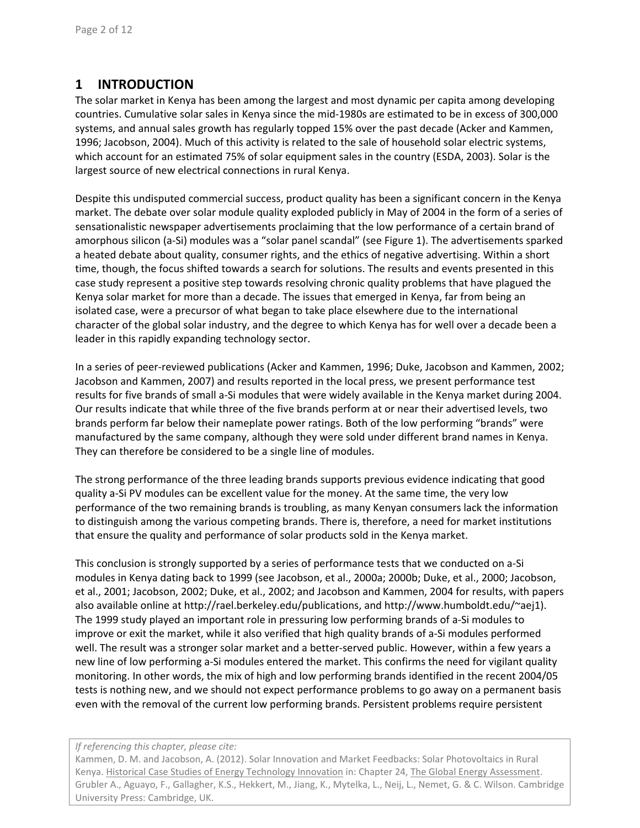# **1 INTRODUCTION**

The solar market in Kenya has been among the largest and most dynamic per capita among developing countries. Cumulative solar sales in Kenya since the mid‐1980s are estimated to be in excess of 300,000 systems, and annual sales growth has regularly topped 15% over the past decade (Acker and Kammen, 1996; Jacobson, 2004). Much of this activity is related to the sale of household solar electric systems, which account for an estimated 75% of solar equipment sales in the country (ESDA, 2003). Solar is the largest source of new electrical connections in rural Kenya.

Despite this undisputed commercial success, product quality has been a significant concern in the Kenya market. The debate over solar module quality exploded publicly in May of 2004 in the form of a series of sensationalistic newspaper advertisements proclaiming that the low performance of a certain brand of amorphous silicon (a‐Si) modules was a "solar panel scandal" (see Figure 1). The advertisements sparked a heated debate about quality, consumer rights, and the ethics of negative advertising. Within a short time, though, the focus shifted towards a search for solutions. The results and events presented in this case study represent a positive step towards resolving chronic quality problems that have plagued the Kenya solar market for more than a decade. The issues that emerged in Kenya, far from being an isolated case, were a precursor of what began to take place elsewhere due to the international character of the global solar industry, and the degree to which Kenya has for well over a decade been a leader in this rapidly expanding technology sector.

In a series of peer‐reviewed publications (Acker and Kammen, 1996; Duke, Jacobson and Kammen, 2002; Jacobson and Kammen, 2007) and results reported in the local press, we present performance test results for five brands of small a‐Si modules that were widely available in the Kenya market during 2004. Our results indicate that while three of the five brands perform at or near their advertised levels, two brands perform far below their nameplate power ratings. Both of the low performing "brands" were manufactured by the same company, although they were sold under different brand names in Kenya. They can therefore be considered to be a single line of modules.

The strong performance of the three leading brands supports previous evidence indicating that good quality a‐Si PV modules can be excellent value for the money. At the same time, the very low performance of the two remaining brands is troubling, as many Kenyan consumers lack the information to distinguish among the various competing brands. There is, therefore, a need for market institutions that ensure the quality and performance of solar products sold in the Kenya market.

This conclusion is strongly supported by a series of performance tests that we conducted on a‐Si modules in Kenya dating back to 1999 (see Jacobson, et al., 2000a; 2000b; Duke, et al., 2000; Jacobson, et al., 2001; Jacobson, 2002; Duke, et al., 2002; and Jacobson and Kammen, 2004 for results, with papers also available online at http://rael.berkeley.edu/publications, and http://www.humboldt.edu/~aej1). The 1999 study played an important role in pressuring low performing brands of a‐Si modules to improve or exit the market, while it also verified that high quality brands of a‐Si modules performed well. The result was a stronger solar market and a better-served public. However, within a few years a new line of low performing a‐Si modules entered the market. This confirms the need for vigilant quality monitoring. In other words, the mix of high and low performing brands identified in the recent 2004/05 tests is nothing new, and we should not expect performance problems to go away on a permanent basis even with the removal of the current low performing brands. Persistent problems require persistent

#### *If referencing this chapter, please cite:*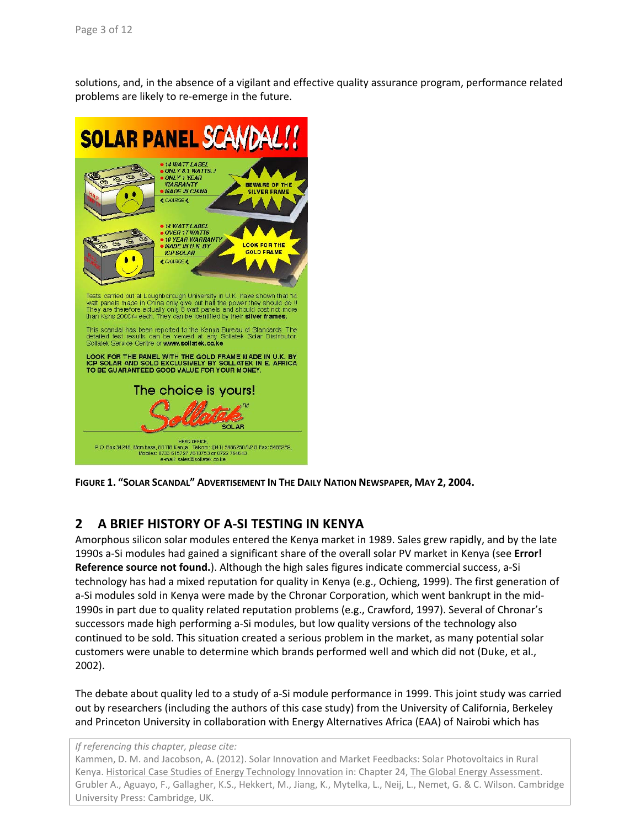solutions, and, in the absence of a vigilant and effective quality assurance program, performance related problems are likely to re-emerge in the future.



**FIGURE 1. "SOLAR SCANDAL" ADVERTISEMENT IN THE DAILY NATION NEWSPAPER, MAY 2, 2004.**

# **2 A BRIEF HISTORY OF A‐SI TESTING IN KENYA**

Amorphous silicon solar modules entered the Kenya market in 1989. Sales grew rapidly, and by the late 1990s a‐Si modules had gained a significant share of the overall solar PV market in Kenya (see **Error! Reference source not found.**). Although the high sales figures indicate commercial success, a‐Si technology has had a mixed reputation for quality in Kenya (e.g., Ochieng, 1999). The first generation of a‐Si modules sold in Kenya were made by the Chronar Corporation, which went bankrupt in the mid‐ 1990s in part due to quality related reputation problems (e.g., Crawford, 1997). Several of Chronar's successors made high performing a‐Si modules, but low quality versions of the technology also continued to be sold. This situation created a serious problem in the market, as many potential solar customers were unable to determine which brands performed well and which did not (Duke, et al., 2002).

The debate about quality led to a study of a‐Si module performance in 1999. This joint study was carried out by researchers (including the authors of this case study) from the University of California, Berkeley and Princeton University in collaboration with Energy Alternatives Africa (EAA) of Nairobi which has

*If referencing this chapter, please cite:*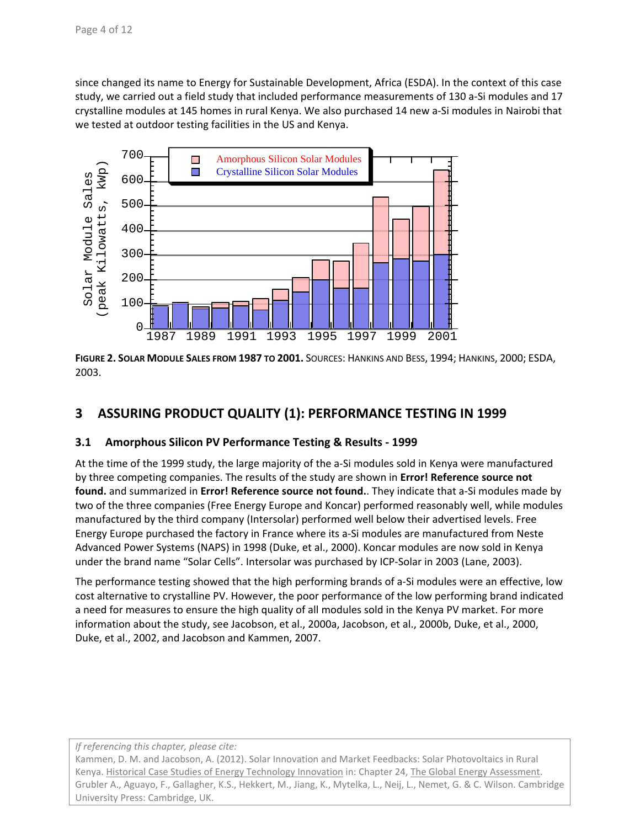since changed its name to Energy for Sustainable Development, Africa (ESDA). In the context of this case study, we carried out a field study that included performance measurements of 130 a‐Si modules and 17 crystalline modules at 145 homes in rural Kenya. We also purchased 14 new a‐Si modules in Nairobi that we tested at outdoor testing facilities in the US and Kenya.



**FIGURE 2. SOLAR MODULE SALES FROM 1987 TO 2001.** SOURCES: HANKINS AND BESS, 1994; HANKINS, 2000; ESDA, 2003.

## **3 ASSURING PRODUCT QUALITY (1): PERFORMANCE TESTING IN 1999**

#### **3.1 Amorphous Silicon PV Performance Testing & Results ‐ 1999**

At the time of the 1999 study, the large majority of the a‐Si modules sold in Kenya were manufactured by three competing companies. The results of the study are shown in **Error! Reference source not found.** and summarized in **Error! Reference source not found.**. They indicate that a‐Si modules made by two of the three companies (Free Energy Europe and Koncar) performed reasonably well, while modules manufactured by the third company (Intersolar) performed well below their advertised levels. Free Energy Europe purchased the factory in France where its a‐Si modules are manufactured from Neste Advanced Power Systems (NAPS) in 1998 (Duke, et al., 2000). Koncar modules are now sold in Kenya under the brand name "Solar Cells". Intersolar was purchased by ICP‐Solar in 2003 (Lane, 2003).

The performance testing showed that the high performing brands of a‐Si modules were an effective, low cost alternative to crystalline PV. However, the poor performance of the low performing brand indicated a need for measures to ensure the high quality of all modules sold in the Kenya PV market. For more information about the study, see Jacobson, et al., 2000a, Jacobson, et al., 2000b, Duke, et al., 2000, Duke, et al., 2002, and Jacobson and Kammen, 2007.

*If referencing this chapter, please cite:*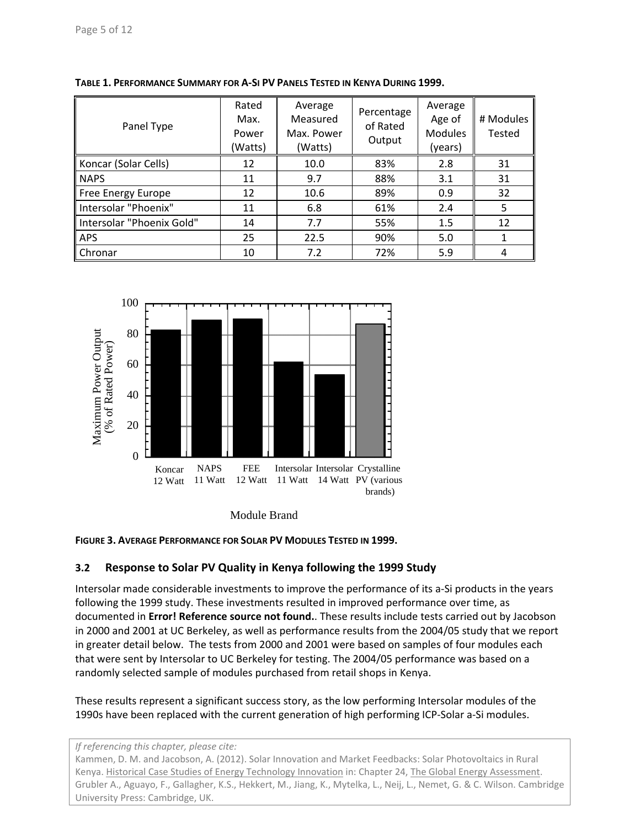| Panel Type                | Rated<br>Max.<br>Power<br>(Watts) | Average<br>Measured<br>Max. Power<br>(Watts) | Percentage<br>of Rated<br>Output | Average<br>Age of<br><b>Modules</b><br>(years) | # Modules<br><b>Tested</b> |
|---------------------------|-----------------------------------|----------------------------------------------|----------------------------------|------------------------------------------------|----------------------------|
| Koncar (Solar Cells)      | 12                                | 10.0                                         | 83%                              | 2.8                                            | 31                         |
| <b>NAPS</b>               | 11                                | 9.7                                          | 88%                              | 3.1                                            | 31                         |
| Free Energy Europe        | 12                                | 10.6                                         | 89%                              | 0.9                                            | 32                         |
| Intersolar "Phoenix"      | 11                                | 6.8                                          | 61%                              | 2.4                                            | 5                          |
| Intersolar "Phoenix Gold" | 14                                | 7.7                                          | 55%                              | 1.5                                            | 12                         |
| <b>APS</b>                | 25                                | 22.5                                         | 90%                              | 5.0                                            | 1                          |
| Chronar                   | 10                                | 7.2                                          | 72%                              | 5.9                                            | 4                          |







#### **FIGURE 3. AVERAGE PERFORMANCE FOR SOLAR PV MODULES TESTED IN 1999.**

#### **3.2 Response to Solar PV Quality in Kenya following the 1999 Study**

Intersolar made considerable investments to improve the performance of its a‐Si products in the years following the 1999 study. These investments resulted in improved performance over time, as documented in **Error! Reference source not found.**. These results include tests carried out by Jacobson in 2000 and 2001 at UC Berkeley, as well as performance results from the 2004/05 study that we report in greater detail below. The tests from 2000 and 2001 were based on samples of four modules each that were sent by Intersolar to UC Berkeley for testing. The 2004/05 performance was based on a randomly selected sample of modules purchased from retail shops in Kenya.

These results represent a significant success story, as the low performing Intersolar modules of the 1990s have been replaced with the current generation of high performing ICP‐Solar a‐Si modules.

*If referencing this chapter, please cite:*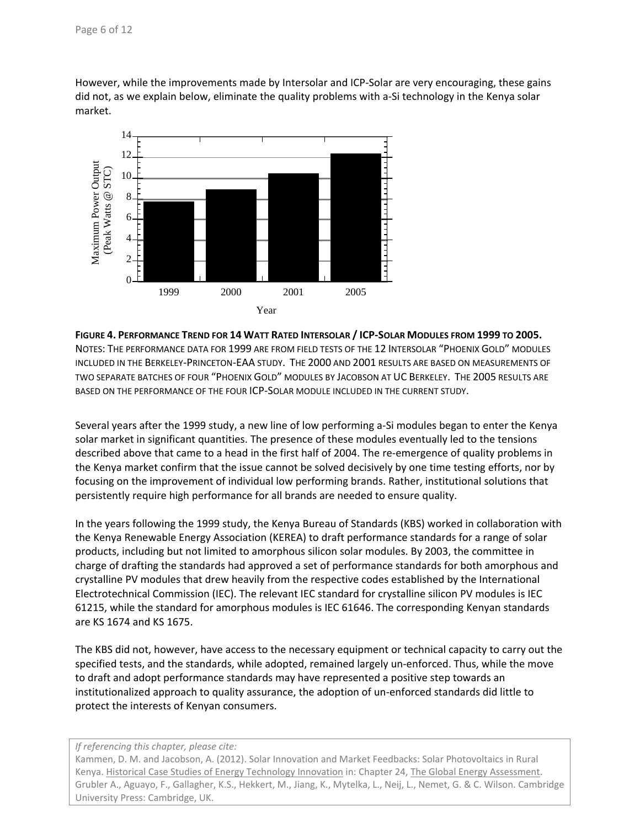However, while the improvements made by Intersolar and ICP‐Solar are very encouraging, these gains did not, as we explain below, eliminate the quality problems with a‐Si technology in the Kenya solar market.



**FIGURE 4. PERFORMANCE TREND FOR 14 WATT RATED INTERSOLAR / ICP‐SOLAR MODULES FROM 1999 TO 2005.** NOTES: THE PERFORMANCE DATA FOR 1999 ARE FROM FIELD TESTS OF THE 12 INTERSOLAR "PHOENIX GOLD" MODULES INCLUDED IN THE BERKELEY‐PRINCETON‐EAA STUDY. THE 2000 AND 2001 RESULTS ARE BASED ON MEASUREMENTS OF TWO SEPARATE BATCHES OF FOUR "PHOENIX GOLD" MODULES BY JACOBSON AT UC BERKELEY. THE 2005 RESULTS ARE BASED ON THE PERFORMANCE OF THE FOUR ICP-SOLAR MODULE INCLUDED IN THE CURRENT STUDY.

Several years after the 1999 study, a new line of low performing a‐Si modules began to enter the Kenya solar market in significant quantities. The presence of these modules eventually led to the tensions described above that came to a head in the first half of 2004. The re-emergence of quality problems in the Kenya market confirm that the issue cannot be solved decisively by one time testing efforts, nor by focusing on the improvement of individual low performing brands. Rather, institutional solutions that persistently require high performance for all brands are needed to ensure quality.

In the years following the 1999 study, the Kenya Bureau of Standards (KBS) worked in collaboration with the Kenya Renewable Energy Association (KEREA) to draft performance standards for a range of solar products, including but not limited to amorphous silicon solar modules. By 2003, the committee in charge of drafting the standards had approved a set of performance standards for both amorphous and crystalline PV modules that drew heavily from the respective codes established by the International Electrotechnical Commission (IEC). The relevant IEC standard for crystalline silicon PV modules is IEC 61215, while the standard for amorphous modules is IEC 61646. The corresponding Kenyan standards are KS 1674 and KS 1675.

The KBS did not, however, have access to the necessary equipment or technical capacity to carry out the specified tests, and the standards, while adopted, remained largely un-enforced. Thus, while the move to draft and adopt performance standards may have represented a positive step towards an institutionalized approach to quality assurance, the adoption of un‐enforced standards did little to protect the interests of Kenyan consumers.

*If referencing this chapter, please cite:*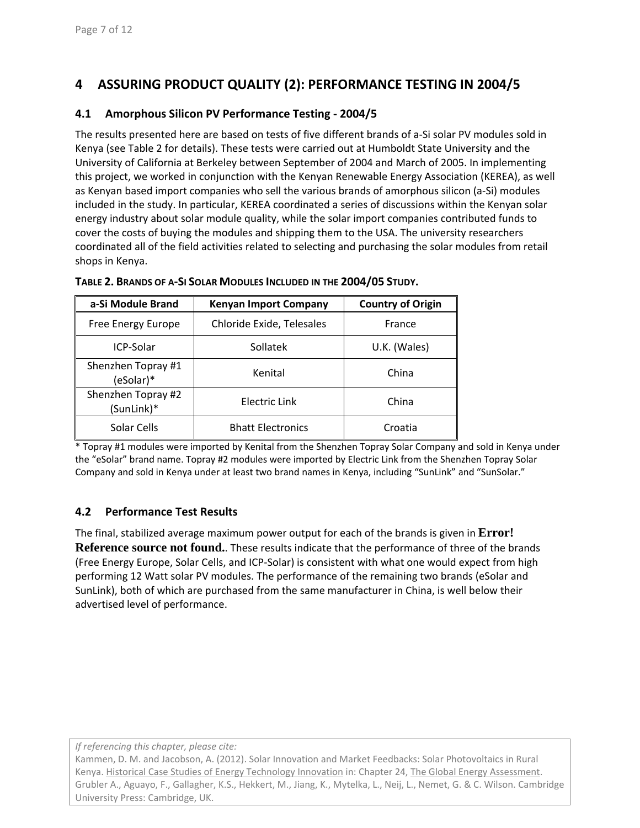# **4 ASSURING PRODUCT QUALITY (2): PERFORMANCE TESTING IN 2004/5**

## **4.1 Amorphous Silicon PV Performance Testing ‐ 2004/5**

The results presented here are based on tests of five different brands of a‐Si solar PV modules sold in Kenya (see Table 2 for details). These tests were carried out at Humboldt State University and the University of California at Berkeley between September of 2004 and March of 2005. In implementing this project, we worked in conjunction with the Kenyan Renewable Energy Association (KEREA), as well as Kenyan based import companies who sell the various brands of amorphous silicon (a‐Si) modules included in the study. In particular, KEREA coordinated a series of discussions within the Kenyan solar energy industry about solar module quality, while the solar import companies contributed funds to cover the costs of buying the modules and shipping them to the USA. The university researchers coordinated all of the field activities related to selecting and purchasing the solar modules from retail shops in Kenya.

| a-Si Module Brand                | <b>Kenyan Import Company</b> | <b>Country of Origin</b> |  |
|----------------------------------|------------------------------|--------------------------|--|
| Free Energy Europe               | Chloride Exide, Telesales    | France                   |  |
| ICP-Solar                        | Sollatek                     | U.K. (Wales)             |  |
| Shenzhen Topray #1<br>(eSolar)*  | Kenital                      | China                    |  |
| Shenzhen Topray #2<br>(SunLink)* | Electric Link                | China                    |  |
| Solar Cells                      | <b>Bhatt Electronics</b>     | Croatia                  |  |

**TABLE 2. BRANDS OF A‐SI SOLAR MODULES INCLUDED IN THE 2004/05 STUDY.**

\* Topray #1 modules were imported by Kenital from the Shenzhen Topray Solar Company and sold in Kenya under the "eSolar" brand name. Topray #2 modules were imported by Electric Link from the Shenzhen Topray Solar Company and sold in Kenya under at least two brand names in Kenya, including "SunLink" and "SunSolar."

## **4.2 Performance Test Results**

The final, stabilized average maximum power output for each of the brands is given in **Error! Reference source not found.**. These results indicate that the performance of three of the brands (Free Energy Europe, Solar Cells, and ICP‐Solar) is consistent with what one would expect from high performing 12 Watt solar PV modules. The performance of the remaining two brands (eSolar and SunLink), both of which are purchased from the same manufacturer in China, is well below their advertised level of performance.

*If referencing this chapter, please cite:*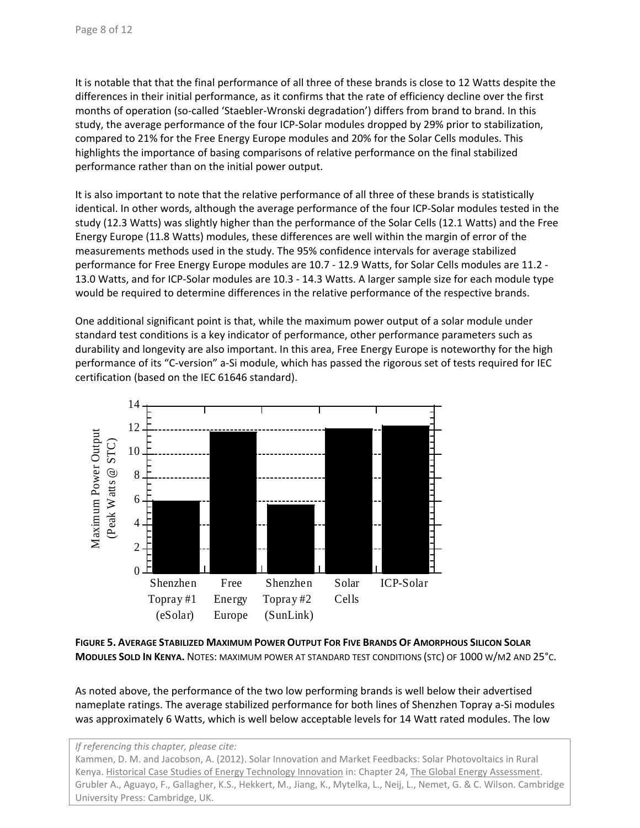It is notable that that the final performance of all three of these brands is close to 12 Watts despite the differences in their initial performance, as it confirms that the rate of efficiency decline over the first months of operation (so‐called 'Staebler‐Wronski degradation') differs from brand to brand. In this study, the average performance of the four ICP‐Solar modules dropped by 29% prior to stabilization, compared to 21% for the Free Energy Europe modules and 20% for the Solar Cells modules. This highlights the importance of basing comparisons of relative performance on the final stabilized performance rather than on the initial power output.

It is also important to note that the relative performance of all three of these brands is statistically identical. In other words, although the average performance of the four ICP‐Solar modules tested in the study (12.3 Watts) was slightly higher than the performance of the Solar Cells (12.1 Watts) and the Free Energy Europe (11.8 Watts) modules, these differences are well within the margin of error of the measurements methods used in the study. The 95% confidence intervals for average stabilized performance for Free Energy Europe modules are 10.7 ‐ 12.9 Watts, for Solar Cells modules are 11.2 ‐ 13.0 Watts, and for ICP‐Solar modules are 10.3 ‐ 14.3 Watts. A larger sample size for each module type would be required to determine differences in the relative performance of the respective brands.

One additional significant point is that, while the maximum power output of a solar module under standard test conditions is a key indicator of performance, other performance parameters such as durability and longevity are also important. In this area, Free Energy Europe is noteworthy for the high performance of its "C‐version" a‐Si module, which has passed the rigorous set of tests required for IEC certification (based on the IEC 61646 standard).



**FIGURE 5. AVERAGE STABILIZED MAXIMUM POWER OUTPUT FOR FIVE BRANDS OF AMORPHOUS SILICON SOLAR MODULES SOLD IN KENYA.** NOTES: MAXIMUM POWER AT STANDARD TEST CONDITIONS (STC) OF 1000 W/M2 AND 25°C.

As noted above, the performance of the two low performing brands is well below their advertised nameplate ratings. The average stabilized performance for both lines of Shenzhen Topray a‐Si modules was approximately 6 Watts, which is well below acceptable levels for 14 Watt rated modules. The low

*If referencing this chapter, please cite:*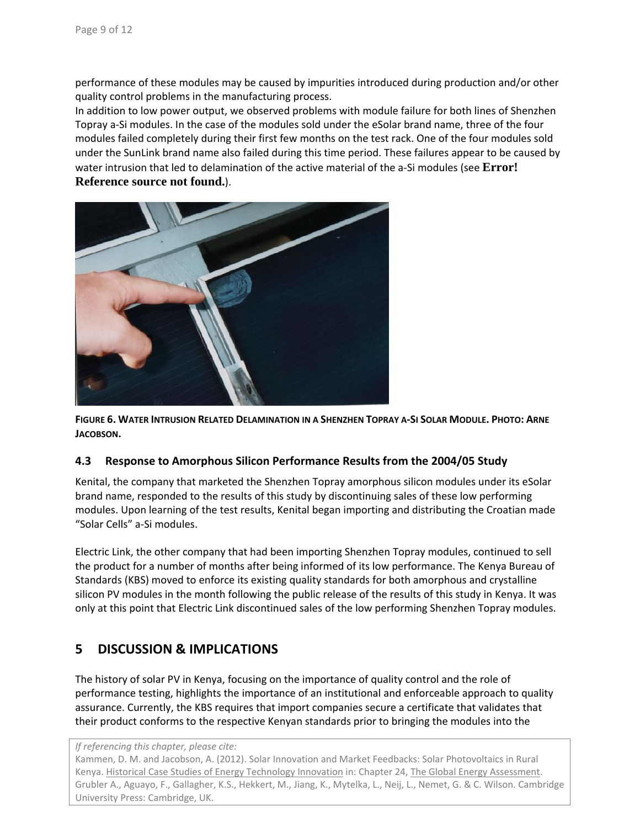performance of these modules may be caused by impurities introduced during production and/or other quality control problems in the manufacturing process.

In addition to low power output, we observed problems with module failure for both lines of Shenzhen Topray a‐Si modules. In the case of the modules sold under the eSolar brand name, three of the four modules failed completely during their first few months on the test rack. One of the four modules sold under the SunLink brand name also failed during this time period. These failures appear to be caused by water intrusion that led to delamination of the active material of the a‐Si modules (see **Error! Reference source not found.**).



**FIGURE 6. WATER INTRUSION RELATED DELAMINATION IN A SHENZHEN TOPRAY A‐SI SOLAR MODULE. PHOTO: ARNE JACOBSON.**

#### **4.3 Response to Amorphous Silicon Performance Results from the 2004/05 Study**

Kenital, the company that marketed the Shenzhen Topray amorphous silicon modules under its eSolar brand name, responded to the results of this study by discontinuing sales of these low performing modules. Upon learning of the test results, Kenital began importing and distributing the Croatian made "Solar Cells" a‐Si modules.

Electric Link, the other company that had been importing Shenzhen Topray modules, continued to sell the product for a number of months after being informed of its low performance. The Kenya Bureau of Standards (KBS) moved to enforce its existing quality standards for both amorphous and crystalline silicon PV modules in the month following the public release of the results of this study in Kenya. It was only at this point that Electric Link discontinued sales of the low performing Shenzhen Topray modules.

## **5 DISCUSSION & IMPLICATIONS**

The history of solar PV in Kenya, focusing on the importance of quality control and the role of performance testing, highlights the importance of an institutional and enforceable approach to quality assurance. Currently, the KBS requires that import companies secure a certificate that validates that their product conforms to the respective Kenyan standards prior to bringing the modules into the

*If referencing this chapter, please cite:*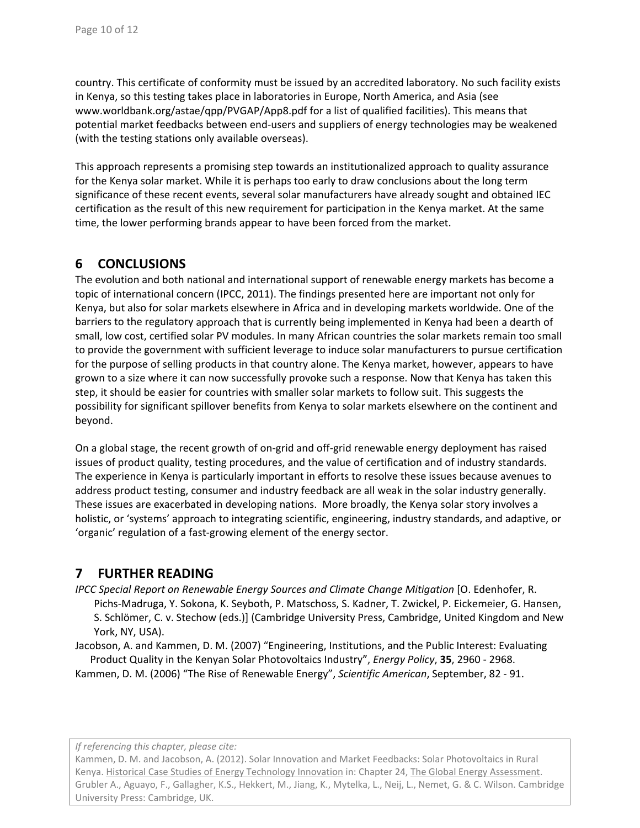country. This certificate of conformity must be issued by an accredited laboratory. No such facility exists in Kenya, so this testing takes place in laboratories in Europe, North America, and Asia (see www.worldbank.org/astae/qpp/PVGAP/App8.pdf for a list of qualified facilities). This means that potential market feedbacks between end‐users and suppliers of energy technologies may be weakened (with the testing stations only available overseas).

This approach represents a promising step towards an institutionalized approach to quality assurance for the Kenya solar market. While it is perhaps too early to draw conclusions about the long term significance of these recent events, several solar manufacturers have already sought and obtained IEC certification as the result of this new requirement for participation in the Kenya market. At the same time, the lower performing brands appear to have been forced from the market.

## **6 CONCLUSIONS**

The evolution and both national and international support of renewable energy markets has become a topic of international concern (IPCC, 2011). The findings presented here are important not only for Kenya, but also for solar markets elsewhere in Africa and in developing markets worldwide. One of the barriers to the regulatory approach that is currently being implemented in Kenya had been a dearth of small, low cost, certified solar PV modules. In many African countries the solar markets remain too small to provide the government with sufficient leverage to induce solar manufacturers to pursue certification for the purpose of selling products in that country alone. The Kenya market, however, appears to have grown to a size where it can now successfully provoke such a response. Now that Kenya has taken this step, it should be easier for countries with smaller solar markets to follow suit. This suggests the possibility for significant spillover benefits from Kenya to solar markets elsewhere on the continent and beyond.

On a global stage, the recent growth of on‐grid and off‐grid renewable energy deployment has raised issues of product quality, testing procedures, and the value of certification and of industry standards. The experience in Kenya is particularly important in efforts to resolve these issues because avenues to address product testing, consumer and industry feedback are all weak in the solar industry generally. These issues are exacerbated in developing nations. More broadly, the Kenya solar story involves a holistic, or 'systems' approach to integrating scientific, engineering, industry standards, and adaptive, or 'organic' regulation of a fast‐growing element of the energy sector.

## **7 FURTHER READING**

- *IPCC Special Report on Renewable Energy Sources and Climate Change Mitigation* [O. Edenhofer, R. Pichs‐Madruga, Y. Sokona, K. Seyboth, P. Matschoss, S. Kadner, T. Zwickel, P. Eickemeier, G. Hansen, S. Schlömer, C. v. Stechow (eds.)] (Cambridge University Press, Cambridge, United Kingdom and New York, NY, USA).
- Jacobson, A. and Kammen, D. M. (2007) "Engineering, Institutions, and the Public Interest: Evaluating Product Quality in the Kenyan Solar Photovoltaics Industry", *Energy Policy*, **35**, 2960 ‐ 2968.

Kammen, D. M. (2006) "The Rise of Renewable Energy", *Scientific American*, September, 82 ‐ 91.

*If referencing this chapter, please cite:*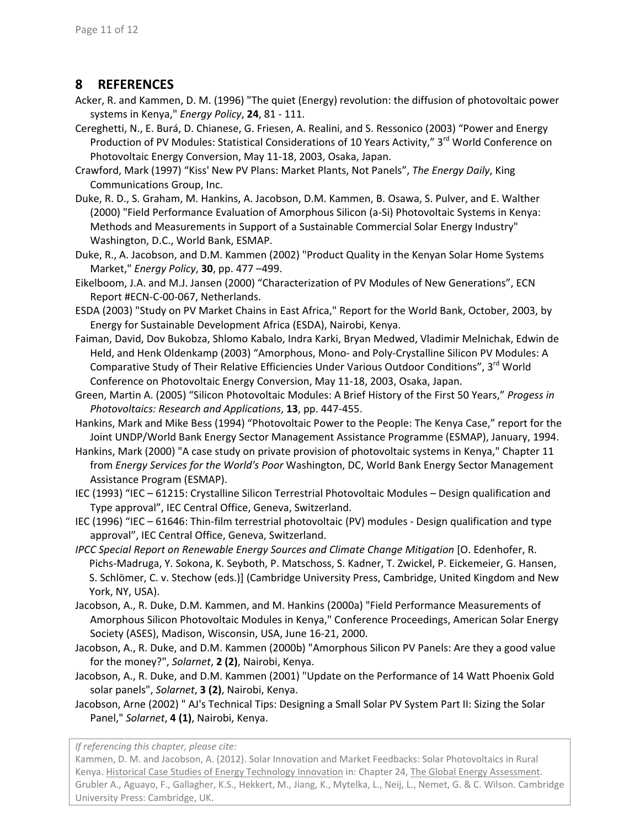## **8 REFERENCES**

- Acker, R. and Kammen, D. M. (1996) "The quiet (Energy) revolution: the diffusion of photovoltaic power systems in Kenya," *Energy Policy*, **24**, 81 ‐ 111.
- Cereghetti, N., E. Burá, D. Chianese, G. Friesen, A. Realini, and S. Ressonico (2003) "Power and Energy Production of PV Modules: Statistical Considerations of 10 Years Activity," 3<sup>rd</sup> World Conference on Photovoltaic Energy Conversion, May 11‐18, 2003, Osaka, Japan.
- Crawford, Mark (1997) "Kiss' New PV Plans: Market Plants, Not Panels", *The Energy Daily*, King Communications Group, Inc.
- Duke, R. D., S. Graham, M. Hankins, A. Jacobson, D.M. Kammen, B. Osawa, S. Pulver, and E. Walther (2000) "Field Performance Evaluation of Amorphous Silicon (a‐Si) Photovoltaic Systems in Kenya: Methods and Measurements in Support of a Sustainable Commercial Solar Energy Industry" Washington, D.C., World Bank, ESMAP.
- Duke, R., A. Jacobson, and D.M. Kammen (2002) "Product Quality in the Kenyan Solar Home Systems Market," *Energy Policy*, **30**, pp. 477 –499.
- Eikelboom, J.A. and M.J. Jansen (2000) "Characterization of PV Modules of New Generations", ECN Report #ECN‐C‐00‐067, Netherlands.
- ESDA (2003) "Study on PV Market Chains in East Africa," Report for the World Bank, October, 2003, by Energy for Sustainable Development Africa (ESDA), Nairobi, Kenya.
- Faiman, David, Dov Bukobza, Shlomo Kabalo, Indra Karki, Bryan Medwed, Vladimir Melnichak, Edwin de Held, and Henk Oldenkamp (2003) "Amorphous, Mono‐ and Poly‐Crystalline Silicon PV Modules: A Comparative Study of Their Relative Efficiencies Under Various Outdoor Conditions", 3<sup>rd</sup> World Conference on Photovoltaic Energy Conversion, May 11‐18, 2003, Osaka, Japan.
- Green, Martin A. (2005) "Silicon Photovoltaic Modules: A Brief History of the First 50 Years," *Progess in Photovoltaics: Research and Applications*, **13**, pp. 447‐455.
- Hankins, Mark and Mike Bess (1994) "Photovoltaic Power to the People: The Kenya Case," report for the Joint UNDP/World Bank Energy Sector Management Assistance Programme (ESMAP), January, 1994.
- Hankins, Mark (2000) "A case study on private provision of photovoltaic systems in Kenya," Chapter 11 from *Energy Services for the World's Poor* Washington, DC, World Bank Energy Sector Management Assistance Program (ESMAP).
- IEC (1993) "IEC 61215: Crystalline Silicon Terrestrial Photovoltaic Modules Design qualification and Type approval", IEC Central Office, Geneva, Switzerland.
- IEC (1996) "IEC 61646: Thin‐film terrestrial photovoltaic (PV) modules ‐ Design qualification and type approval", IEC Central Office, Geneva, Switzerland.
- *IPCC Special Report on Renewable Energy Sources and Climate Change Mitigation* [O. Edenhofer, R. Pichs‐Madruga, Y. Sokona, K. Seyboth, P. Matschoss, S. Kadner, T. Zwickel, P. Eickemeier, G. Hansen, S. Schlömer, C. v. Stechow (eds.)] (Cambridge University Press, Cambridge, United Kingdom and New York, NY, USA).
- Jacobson, A., R. Duke, D.M. Kammen, and M. Hankins (2000a) "Field Performance Measurements of Amorphous Silicon Photovoltaic Modules in Kenya," Conference Proceedings, American Solar Energy Society (ASES), Madison, Wisconsin, USA, June 16‐21, 2000.
- Jacobson, A., R. Duke, and D.M. Kammen (2000b) "Amorphous Silicon PV Panels: Are they a good value for the money?", *Solarnet*, **2 (2)**, Nairobi, Kenya.
- Jacobson, A., R. Duke, and D.M. Kammen (2001) "Update on the Performance of 14 Watt Phoenix Gold solar panels", *Solarnet*, **3 (2)**, Nairobi, Kenya.
- Jacobson, Arne (2002) " AJ's Technical Tips: Designing a Small Solar PV System Part II: Sizing the Solar Panel," *Solarnet*, **4 (1)**, Nairobi, Kenya.

*If referencing this chapter, please cite:*